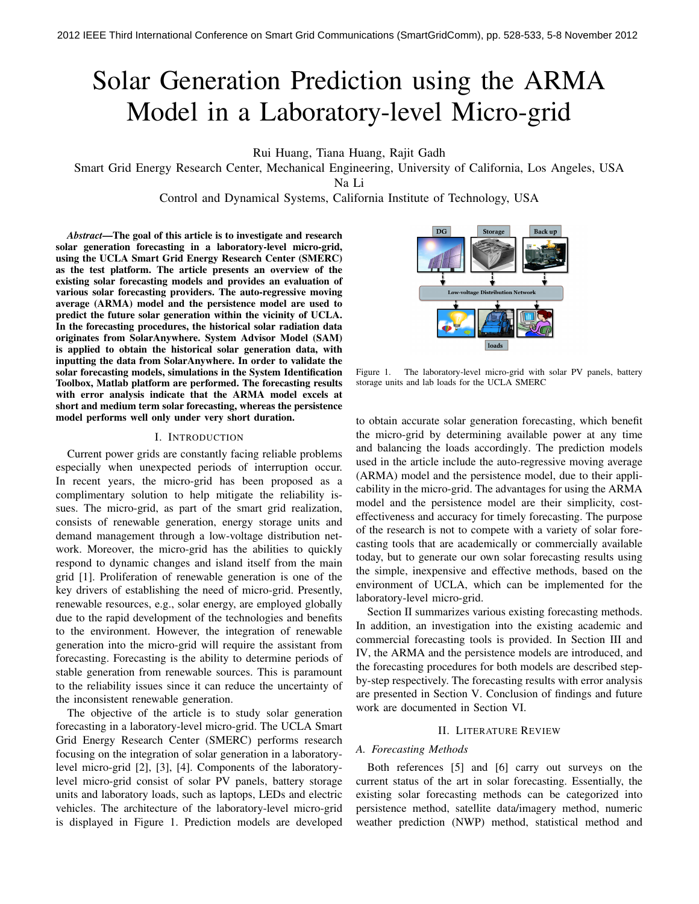# Solar Generation Prediction using the ARMA Model in a Laboratory-level Micro-grid

Rui Huang, Tiana Huang, Rajit Gadh

Smart Grid Energy Research Center, Mechanical Engineering, University of California, Los Angeles, USA

Na Li

Control and Dynamical Systems, California Institute of Technology, USA

*Abstract*—The goal of this article is to investigate and research solar generation forecasting in a laboratory-level micro-grid, using the UCLA Smart Grid Energy Research Center (SMERC) as the test platform. The article presents an overview of the existing solar forecasting models and provides an evaluation of various solar forecasting providers. The auto-regressive moving average (ARMA) model and the persistence model are used to predict the future solar generation within the vicinity of UCLA. In the forecasting procedures, the historical solar radiation data originates from SolarAnywhere. System Advisor Model (SAM) is applied to obtain the historical solar generation data, with inputting the data from SolarAnywhere. In order to validate the solar forecasting models, simulations in the System Identification Toolbox, Matlab platform are performed. The forecasting results with error analysis indicate that the ARMA model excels at short and medium term solar forecasting, whereas the persistence model performs well only under very short duration.

## I. INTRODUCTION

Current power grids are constantly facing reliable problems especially when unexpected periods of interruption occur. In recent years, the micro-grid has been proposed as a complimentary solution to help mitigate the reliability issues. The micro-grid, as part of the smart grid realization, consists of renewable generation, energy storage units and demand management through a low-voltage distribution network. Moreover, the micro-grid has the abilities to quickly respond to dynamic changes and island itself from the main grid [1]. Proliferation of renewable generation is one of the key drivers of establishing the need of micro-grid. Presently, renewable resources, e.g., solar energy, are employed globally due to the rapid development of the technologies and benefits to the environment. However, the integration of renewable generation into the micro-grid will require the assistant from forecasting. Forecasting is the ability to determine periods of stable generation from renewable sources. This is paramount to the reliability issues since it can reduce the uncertainty of the inconsistent renewable generation.

The objective of the article is to study solar generation forecasting in a laboratory-level micro-grid. The UCLA Smart Grid Energy Research Center (SMERC) performs research focusing on the integration of solar generation in a laboratorylevel micro-grid [2], [3], [4]. Components of the laboratorylevel micro-grid consist of solar PV panels, battery storage units and laboratory loads, such as laptops, LEDs and electric vehicles. The architecture of the laboratory-level micro-grid is displayed in Figure 1. Prediction models are developed



Figure 1. The laboratory-level micro-grid with solar PV panels, battery storage units and lab loads for the UCLA SMERC

to obtain accurate solar generation forecasting, which benefit the micro-grid by determining available power at any time and balancing the loads accordingly. The prediction models used in the article include the auto-regressive moving average (ARMA) model and the persistence model, due to their applicability in the micro-grid. The advantages for using the ARMA model and the persistence model are their simplicity, costeffectiveness and accuracy for timely forecasting. The purpose of the research is not to compete with a variety of solar forecasting tools that are academically or commercially available today, but to generate our own solar forecasting results using the simple, inexpensive and effective methods, based on the environment of UCLA, which can be implemented for the laboratory-level micro-grid.

Section II summarizes various existing forecasting methods. In addition, an investigation into the existing academic and commercial forecasting tools is provided. In Section III and IV, the ARMA and the persistence models are introduced, and the forecasting procedures for both models are described stepby-step respectively. The forecasting results with error analysis are presented in Section V. Conclusion of findings and future work are documented in Section VI.

#### II. LITERATURE REVIEW

#### *A. Forecasting Methods*

Both references [5] and [6] carry out surveys on the current status of the art in solar forecasting. Essentially, the existing solar forecasting methods can be categorized into persistence method, satellite data/imagery method, numeric weather prediction (NWP) method, statistical method and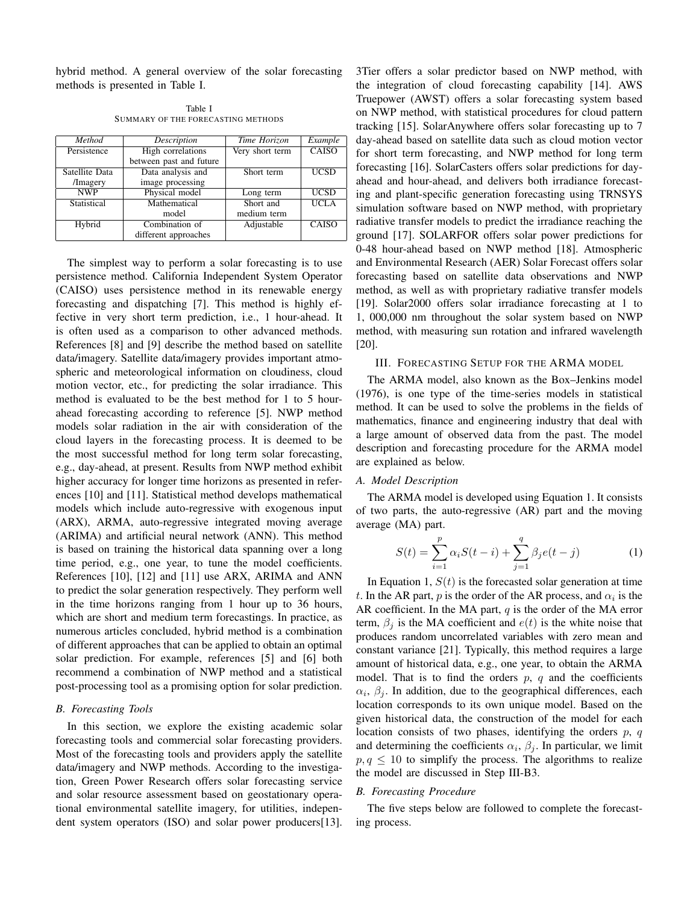hybrid method. A general overview of the solar forecasting methods is presented in Table I.

Table I SUMMARY OF THE FORECASTING METHODS

| Method         | Description             | Time Horizon    | Example     |
|----------------|-------------------------|-----------------|-------------|
| Persistence    | High correlations       | Very short term | CAISO       |
|                | between past and future |                 |             |
| Satellite Data | Data analysis and       | Short term      | UCSD        |
| /Imagery       | image processing        |                 |             |
| <b>NWP</b>     | Physical model          | Long term       | <b>UCSD</b> |
| Statistical    | Mathematical            | Short and       | <b>UCLA</b> |
|                | model                   | medium term     |             |
| Hybrid         | Combination of          | Adjustable      | CAISO       |
|                | different approaches    |                 |             |

The simplest way to perform a solar forecasting is to use persistence method. California Independent System Operator (CAISO) uses persistence method in its renewable energy forecasting and dispatching [7]. This method is highly effective in very short term prediction, i.e., 1 hour-ahead. It is often used as a comparison to other advanced methods. References [8] and [9] describe the method based on satellite data/imagery. Satellite data/imagery provides important atmospheric and meteorological information on cloudiness, cloud motion vector, etc., for predicting the solar irradiance. This method is evaluated to be the best method for 1 to 5 hourahead forecasting according to reference [5]. NWP method models solar radiation in the air with consideration of the cloud layers in the forecasting process. It is deemed to be the most successful method for long term solar forecasting, e.g., day-ahead, at present. Results from NWP method exhibit higher accuracy for longer time horizons as presented in references [10] and [11]. Statistical method develops mathematical models which include auto-regressive with exogenous input (ARX), ARMA, auto-regressive integrated moving average (ARIMA) and artificial neural network (ANN). This method is based on training the historical data spanning over a long time period, e.g., one year, to tune the model coefficients. References [10], [12] and [11] use ARX, ARIMA and ANN to predict the solar generation respectively. They perform well in the time horizons ranging from 1 hour up to 36 hours, which are short and medium term forecastings. In practice, as numerous articles concluded, hybrid method is a combination of different approaches that can be applied to obtain an optimal solar prediction. For example, references [5] and [6] both recommend a combination of NWP method and a statistical post-processing tool as a promising option for solar prediction.

# *B. Forecasting Tools*

In this section, we explore the existing academic solar forecasting tools and commercial solar forecasting providers. Most of the forecasting tools and providers apply the satellite data/imagery and NWP methods. According to the investigation, Green Power Research offers solar forecasting service and solar resource assessment based on geostationary operational environmental satellite imagery, for utilities, independent system operators (ISO) and solar power producers[13].

3Tier offers a solar predictor based on NWP method, with the integration of cloud forecasting capability [14]. AWS Truepower (AWST) offers a solar forecasting system based on NWP method, with statistical procedures for cloud pattern tracking [15]. SolarAnywhere offers solar forecasting up to 7 day-ahead based on satellite data such as cloud motion vector for short term forecasting, and NWP method for long term forecasting [16]. SolarCasters offers solar predictions for dayahead and hour-ahead, and delivers both irradiance forecasting and plant-specific generation forecasting using TRNSYS simulation software based on NWP method, with proprietary radiative transfer models to predict the irradiance reaching the ground [17]. SOLARFOR offers solar power predictions for 0-48 hour-ahead based on NWP method [18]. Atmospheric and Environmental Research (AER) Solar Forecast offers solar forecasting based on satellite data observations and NWP method, as well as with proprietary radiative transfer models [19]. Solar2000 offers solar irradiance forecasting at 1 to 1, 000,000 nm throughout the solar system based on NWP method, with measuring sun rotation and infrared wavelength [20].

#### III. FORECASTING SETUP FOR THE ARMA MODEL

The ARMA model, also known as the Box–Jenkins model (1976), is one type of the time-series models in statistical method. It can be used to solve the problems in the fields of mathematics, finance and engineering industry that deal with a large amount of observed data from the past. The model description and forecasting procedure for the ARMA model are explained as below.

#### *A. Model Description*

The ARMA model is developed using Equation 1. It consists of two parts, the auto-regressive (AR) part and the moving average (MA) part.

$$
S(t) = \sum_{i=1}^{p} \alpha_i S(t-i) + \sum_{j=1}^{q} \beta_j e(t-j)
$$
 (1)

In Equation 1,  $S(t)$  is the forecasted solar generation at time t. In the AR part, p is the order of the AR process, and  $\alpha_i$  is the AR coefficient. In the MA part,  $q$  is the order of the MA error term,  $\beta_i$  is the MA coefficient and  $e(t)$  is the white noise that produces random uncorrelated variables with zero mean and constant variance [21]. Typically, this method requires a large amount of historical data, e.g., one year, to obtain the ARMA model. That is to find the orders  $p$ ,  $q$  and the coefficients  $\alpha_i$ ,  $\beta_j$ . In addition, due to the geographical differences, each location corresponds to its own unique model. Based on the given historical data, the construction of the model for each location consists of two phases, identifying the orders  $p$ ,  $q$ and determining the coefficients  $\alpha_i$ ,  $\beta_j$ . In particular, we limit  $p, q \leq 10$  to simplify the process. The algorithms to realize the model are discussed in Step III-B3.

#### *B. Forecasting Procedure*

The five steps below are followed to complete the forecasting process.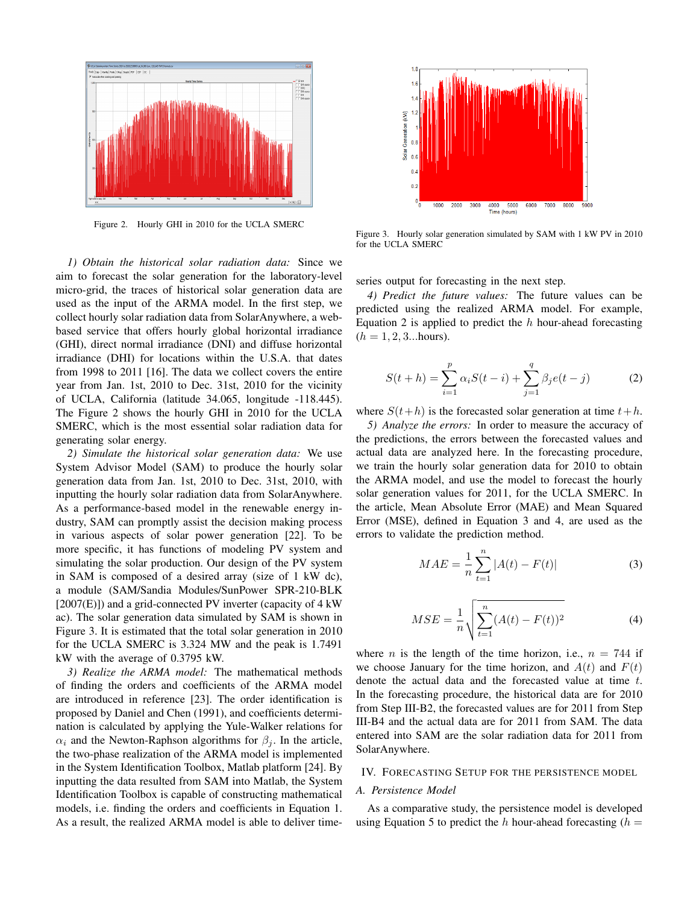

Figure 2. Hourly GHI in 2010 for the UCLA SMERC

*1) Obtain the historical solar radiation data:* Since we aim to forecast the solar generation for the laboratory-level micro-grid, the traces of historical solar generation data are used as the input of the ARMA model. In the first step, we collect hourly solar radiation data from SolarAnywhere, a webbased service that offers hourly global horizontal irradiance (GHI), direct normal irradiance (DNI) and diffuse horizontal irradiance (DHI) for locations within the U.S.A. that dates from 1998 to 2011 [16]. The data we collect covers the entire year from Jan. 1st, 2010 to Dec. 31st, 2010 for the vicinity of UCLA, California (latitude 34.065, longitude -118.445). The Figure 2 shows the hourly GHI in 2010 for the UCLA SMERC, which is the most essential solar radiation data for generating solar energy.

*2) Simulate the historical solar generation data:* We use System Advisor Model (SAM) to produce the hourly solar generation data from Jan. 1st, 2010 to Dec. 31st, 2010, with inputting the hourly solar radiation data from SolarAnywhere. As a performance-based model in the renewable energy industry, SAM can promptly assist the decision making process in various aspects of solar power generation [22]. To be more specific, it has functions of modeling PV system and simulating the solar production. Our design of the PV system in SAM is composed of a desired array (size of 1 kW dc), a module (SAM/Sandia Modules/SunPower SPR-210-BLK  $[2007(E)]$ ) and a grid-connected PV inverter (capacity of  $4 \text{ kW}$ ) ac). The solar generation data simulated by SAM is shown in Figure 3. It is estimated that the total solar generation in 2010 for the UCLA SMERC is 3.324 MW and the peak is 1.7491 kW with the average of 0.3795 kW.

*3) Realize the ARMA model:* The mathematical methods of finding the orders and coefficients of the ARMA model are introduced in reference [23]. The order identification is proposed by Daniel and Chen (1991), and coefficients determination is calculated by applying the Yule-Walker relations for  $\alpha_i$  and the Newton-Raphson algorithms for  $\beta_i$ . In the article, the two-phase realization of the ARMA model is implemented in the System Identification Toolbox, Matlab platform [24]. By inputting the data resulted from SAM into Matlab, the System Identification Toolbox is capable of constructing mathematical models, i.e. finding the orders and coefficients in Equation 1. As a result, the realized ARMA model is able to deliver time-



Figure 3. Hourly solar generation simulated by SAM with 1 kW PV in 2010 for the UCLA SMERC

series output for forecasting in the next step.

*4) Predict the future values:* The future values can be predicted using the realized ARMA model. For example, Equation 2 is applied to predict the  $h$  hour-ahead forecasting  $(h = 1, 2, 3...$ hours).

$$
S(t+h) = \sum_{i=1}^{p} \alpha_i S(t-i) + \sum_{j=1}^{q} \beta_j e(t-j)
$$
 (2)

where  $S(t+h)$  is the forecasted solar generation at time  $t+h$ .

*5) Analyze the errors:* In order to measure the accuracy of the predictions, the errors between the forecasted values and actual data are analyzed here. In the forecasting procedure, we train the hourly solar generation data for 2010 to obtain the ARMA model, and use the model to forecast the hourly solar generation values for 2011, for the UCLA SMERC. In the article, Mean Absolute Error (MAE) and Mean Squared Error (MSE), defined in Equation 3 and 4, are used as the errors to validate the prediction method.

$$
MAE = \frac{1}{n} \sum_{t=1}^{n} |A(t) - F(t)|
$$
\n(3)

$$
MSE = \frac{1}{n} \sqrt{\sum_{t=1}^{n} (A(t) - F(t))^2}
$$
 (4)

where *n* is the length of the time horizon, i.e.,  $n = 744$  if we choose January for the time horizon, and  $A(t)$  and  $F(t)$ denote the actual data and the forecasted value at time t. In the forecasting procedure, the historical data are for 2010 from Step III-B2, the forecasted values are for 2011 from Step III-B4 and the actual data are for 2011 from SAM. The data entered into SAM are the solar radiation data for 2011 from SolarAnywhere.

## IV. FORECASTING SETUP FOR THE PERSISTENCE MODEL

#### *A. Persistence Model*

As a comparative study, the persistence model is developed using Equation 5 to predict the h hour-ahead forecasting  $(h =$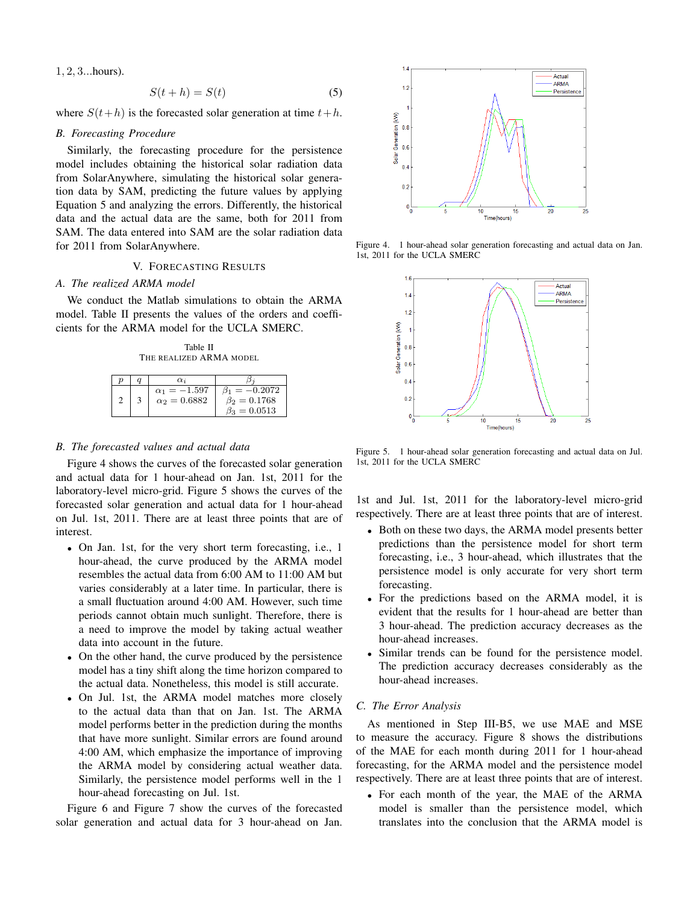1, 2, 3...hours).

$$
S(t+h) = S(t) \tag{5}
$$

where  $S(t+h)$  is the forecasted solar generation at time  $t+h$ .

# *B. Forecasting Procedure*

Similarly, the forecasting procedure for the persistence model includes obtaining the historical solar radiation data from SolarAnywhere, simulating the historical solar generation data by SAM, predicting the future values by applying Equation 5 and analyzing the errors. Differently, the historical data and the actual data are the same, both for 2011 from SAM. The data entered into SAM are the solar radiation data for 2011 from SolarAnywhere.

## V. FORECASTING RESULTS

# *A. The realized ARMA model*

We conduct the Matlab simulations to obtain the ARMA model. Table II presents the values of the orders and coefficients for the ARMA model for the UCLA SMERC.

Table II THE REALIZED ARMA MODEL

|  | $\alpha_i$                                 |                                                       |
|--|--------------------------------------------|-------------------------------------------------------|
|  | $\alpha_1 = -1.597$<br>$\alpha_2 = 0.6882$ | $-0.2072$<br>$\beta_2 = 0.1768$<br>$\beta_3 = 0.0513$ |

## *B. The forecasted values and actual data*

Figure 4 shows the curves of the forecasted solar generation and actual data for 1 hour-ahead on Jan. 1st, 2011 for the laboratory-level micro-grid. Figure 5 shows the curves of the forecasted solar generation and actual data for 1 hour-ahead on Jul. 1st, 2011. There are at least three points that are of interest.

- On Jan. 1st, for the very short term forecasting, i.e., 1 hour-ahead, the curve produced by the ARMA model resembles the actual data from 6:00 AM to 11:00 AM but varies considerably at a later time. In particular, there is a small fluctuation around 4:00 AM. However, such time periods cannot obtain much sunlight. Therefore, there is a need to improve the model by taking actual weather data into account in the future.
- On the other hand, the curve produced by the persistence model has a tiny shift along the time horizon compared to the actual data. Nonetheless, this model is still accurate.
- On Jul. 1st, the ARMA model matches more closely to the actual data than that on Jan. 1st. The ARMA model performs better in the prediction during the months that have more sunlight. Similar errors are found around 4:00 AM, which emphasize the importance of improving the ARMA model by considering actual weather data. Similarly, the persistence model performs well in the 1 hour-ahead forecasting on Jul. 1st.

Figure 6 and Figure 7 show the curves of the forecasted solar generation and actual data for 3 hour-ahead on Jan.



Figure 4. 1 hour-ahead solar generation forecasting and actual data on Jan. 1st, 2011 for the UCLA SMERC



Figure 5. 1 hour-ahead solar generation forecasting and actual data on Jul. 1st, 2011 for the UCLA SMERC

1st and Jul. 1st, 2011 for the laboratory-level micro-grid respectively. There are at least three points that are of interest.

- Both on these two days, the ARMA model presents better predictions than the persistence model for short term forecasting, i.e., 3 hour-ahead, which illustrates that the persistence model is only accurate for very short term forecasting.
- For the predictions based on the ARMA model, it is evident that the results for 1 hour-ahead are better than 3 hour-ahead. The prediction accuracy decreases as the hour-ahead increases.
- Similar trends can be found for the persistence model. The prediction accuracy decreases considerably as the hour-ahead increases.

# *C. The Error Analysis*

As mentioned in Step III-B5, we use MAE and MSE to measure the accuracy. Figure 8 shows the distributions of the MAE for each month during 2011 for 1 hour-ahead forecasting, for the ARMA model and the persistence model respectively. There are at least three points that are of interest.

• For each month of the year, the MAE of the ARMA model is smaller than the persistence model, which translates into the conclusion that the ARMA model is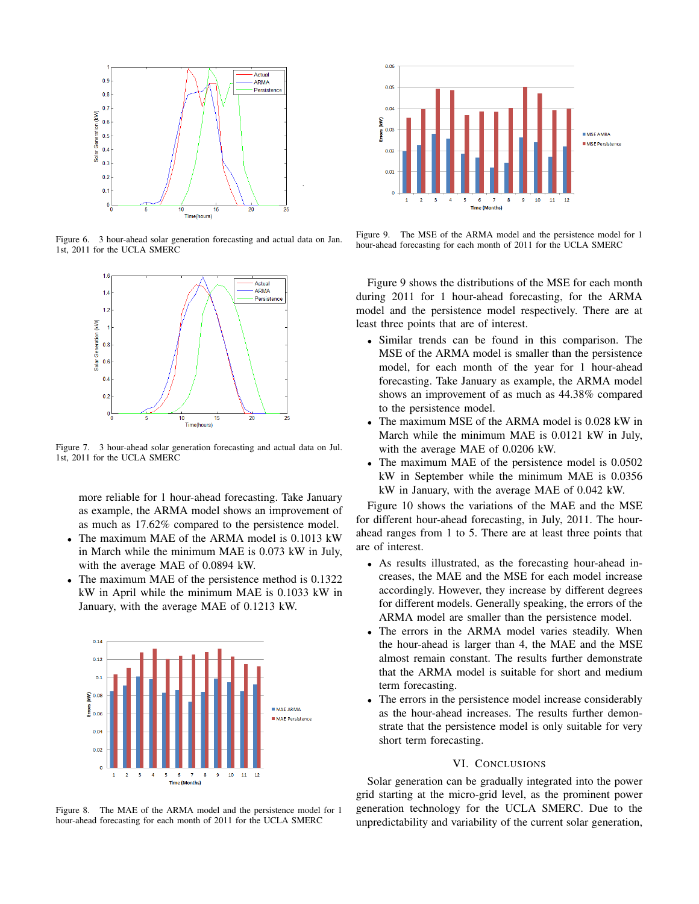

Figure 6. 3 hour-ahead solar generation forecasting and actual data on Jan. 1st, 2011 for the UCLA SMERC



Figure 7. 3 hour-ahead solar generation forecasting and actual data on Jul. 1st, 2011 for the UCLA SMERC

more reliable for 1 hour-ahead forecasting. Take January as example, the ARMA model shows an improvement of as much as 17.62% compared to the persistence model.

- The maximum MAE of the ARMA model is 0.1013 kW in March while the minimum MAE is 0.073 kW in July, with the average MAE of 0.0894 kW.
- The maximum MAE of the persistence method is 0.1322 kW in April while the minimum MAE is 0.1033 kW in January, with the average MAE of 0.1213 kW.



Figure 8. The MAE of the ARMA model and the persistence model for 1 hour-ahead forecasting for each month of 2011 for the UCLA SMERC



Figure 9. The MSE of the ARMA model and the persistence model for 1 hour-ahead forecasting for each month of 2011 for the UCLA SMERC

Figure 9 shows the distributions of the MSE for each month during 2011 for 1 hour-ahead forecasting, for the ARMA model and the persistence model respectively. There are at least three points that are of interest.

- Similar trends can be found in this comparison. The MSE of the ARMA model is smaller than the persistence model, for each month of the year for 1 hour-ahead forecasting. Take January as example, the ARMA model shows an improvement of as much as 44.38% compared to the persistence model.
- The maximum MSE of the ARMA model is 0.028 kW in March while the minimum MAE is 0.0121 kW in July, with the average MAE of 0.0206 kW.
- The maximum MAE of the persistence model is 0.0502 kW in September while the minimum MAE is 0.0356 kW in January, with the average MAE of 0.042 kW.

Figure 10 shows the variations of the MAE and the MSE for different hour-ahead forecasting, in July, 2011. The hourahead ranges from 1 to 5. There are at least three points that are of interest.

- As results illustrated, as the forecasting hour-ahead increases, the MAE and the MSE for each model increase accordingly. However, they increase by different degrees for different models. Generally speaking, the errors of the ARMA model are smaller than the persistence model.
- The errors in the ARMA model varies steadily. When the hour-ahead is larger than 4, the MAE and the MSE almost remain constant. The results further demonstrate that the ARMA model is suitable for short and medium term forecasting.
- The errors in the persistence model increase considerably as the hour-ahead increases. The results further demonstrate that the persistence model is only suitable for very short term forecasting.

# VI. CONCLUSIONS

Solar generation can be gradually integrated into the power grid starting at the micro-grid level, as the prominent power generation technology for the UCLA SMERC. Due to the unpredictability and variability of the current solar generation,